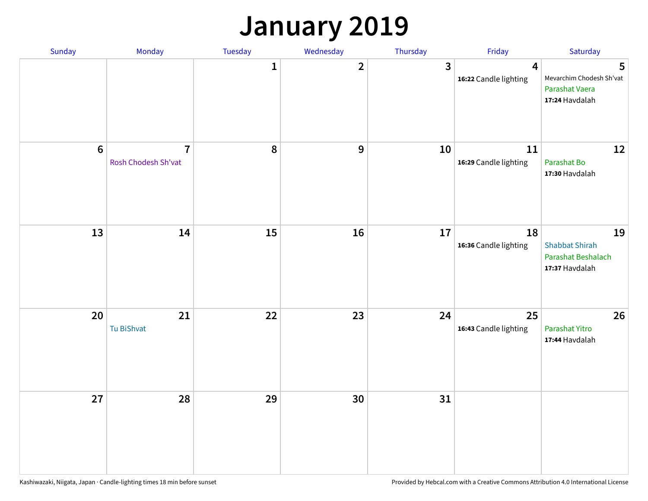## **January 2019**

| Sunday  | Monday                                | Tuesday          | Wednesday      | Thursday     | Friday                          | Saturday                                                            |
|---------|---------------------------------------|------------------|----------------|--------------|---------------------------------|---------------------------------------------------------------------|
|         |                                       | $\mathbf{1}$     | $\overline{2}$ | $\mathbf{3}$ | 4<br>16:22 Candle lighting      | 5<br>Mevarchim Chodesh Sh'vat<br>Parashat Vaera<br>17:24 Havdalah   |
| $\bf 6$ | $\overline{7}$<br>Rosh Chodesh Sh'vat | $\boldsymbol{8}$ | 9              | 10           | $11\,$<br>16:29 Candle lighting | 12<br>Parashat Bo<br>17:30 Havdalah                                 |
| 13      | 14                                    | 15               | 16             | 17           | 18<br>16:36 Candle lighting     | 19<br><b>Shabbat Shirah</b><br>Parashat Beshalach<br>17:37 Havdalah |
| 20      | 21<br>Tu BiShvat                      | 22               | 23             | 24           | 25<br>16:43 Candle lighting     | 26<br>Parashat Yitro<br>17:44 Havdalah                              |
| 27      | 28                                    | 29               | 30             | 31           |                                 |                                                                     |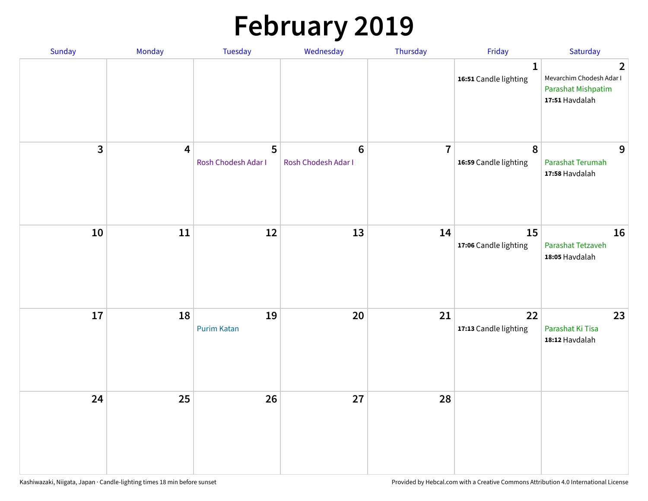# **February 2019**

| Sunday | Monday                  | Tuesday                  | Wednesday                      | Thursday       | Friday                                | Saturday                                                                                  |
|--------|-------------------------|--------------------------|--------------------------------|----------------|---------------------------------------|-------------------------------------------------------------------------------------------|
|        |                         |                          |                                |                | $\mathbf{1}$<br>16:51 Candle lighting | $\overline{2}$<br>Mevarchim Chodesh Adar I<br><b>Parashat Mishpatim</b><br>17:51 Havdalah |
| 3      | $\overline{\mathbf{4}}$ | 5<br>Rosh Chodesh Adar I | $\bf 6$<br>Rosh Chodesh Adar I | $\overline{7}$ | $\pmb{8}$<br>16:59 Candle lighting    | 9<br>Parashat Terumah<br>17:58 Havdalah                                                   |
| 10     | 11                      | 12                       | 13                             | 14             | 15<br>17:06 Candle lighting           | 16<br>Parashat Tetzaveh<br>18:05 Havdalah                                                 |
| 17     | 18                      | 19<br><b>Purim Katan</b> | 20                             | 21             | 22<br>17:13 Candle lighting           | 23<br>Parashat Ki Tisa<br>18:12 Havdalah                                                  |
| 24     | 25                      | 26                       | 27                             | 28             |                                       |                                                                                           |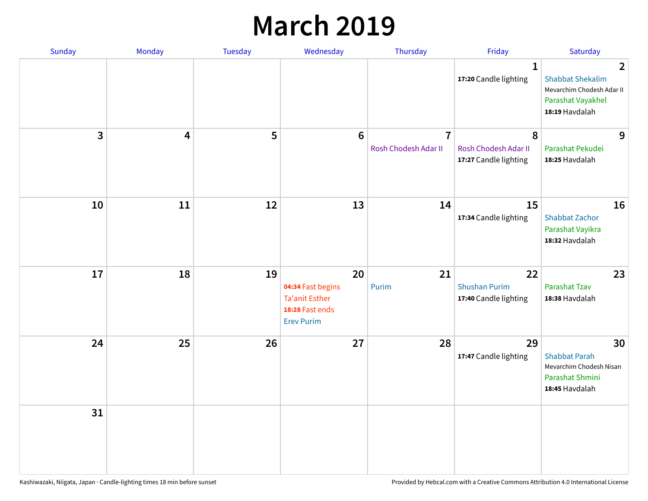## **March 2019**

| Sunday         | Monday                  | Tuesday | Wednesday                                                                                | Thursday                               | Friday                                              | Saturday                                                                                                      |
|----------------|-------------------------|---------|------------------------------------------------------------------------------------------|----------------------------------------|-----------------------------------------------------|---------------------------------------------------------------------------------------------------------------|
|                |                         |         |                                                                                          |                                        | $\mathbf{1}$<br>17:20 Candle lighting               | $\overline{2}$<br><b>Shabbat Shekalim</b><br>Mevarchim Chodesh Adar II<br>Parashat Vayakhel<br>18:19 Havdalah |
| $\overline{3}$ | $\overline{\mathbf{4}}$ | 5       | $6\phantom{1}6$                                                                          | $\overline{7}$<br>Rosh Chodesh Adar II | 8<br>Rosh Chodesh Adar II<br>17:27 Candle lighting  | 9<br>Parashat Pekudei<br>18:25 Havdalah                                                                       |
| 10             | 11                      | 12      | 13                                                                                       | 14                                     | 15<br>17:34 Candle lighting                         | 16<br><b>Shabbat Zachor</b><br>Parashat Vayikra<br>18:32 Havdalah                                             |
| 17             | 18                      | 19      | 20<br>04:34 Fast begins<br><b>Ta'anit Esther</b><br>18:28 Fast ends<br><b>Erev Purim</b> | 21<br>Purim                            | 22<br><b>Shushan Purim</b><br>17:40 Candle lighting | 23<br><b>Parashat Tzav</b><br>18:38 Havdalah                                                                  |
| 24             | 25                      | 26      | 27                                                                                       | 28                                     | 29<br>17:47 Candle lighting                         | 30<br><b>Shabbat Parah</b><br>Mevarchim Chodesh Nisan<br>Parashat Shmini<br>18:45 Havdalah                    |
| 31             |                         |         |                                                                                          |                                        |                                                     |                                                                                                               |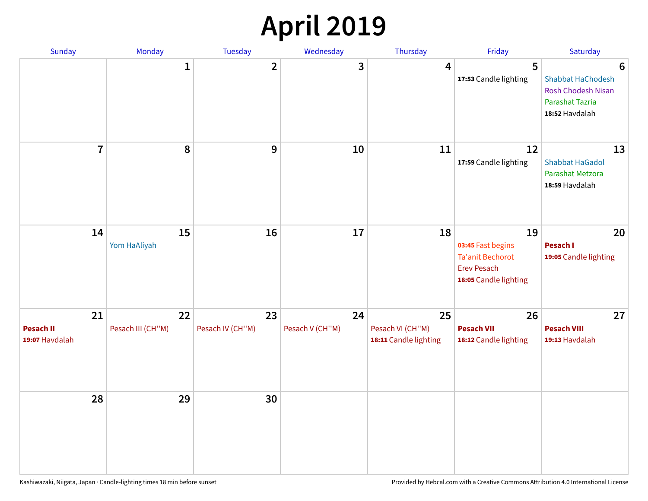## **April 2019**

| Sunday                                   | Monday                  | Tuesday                | Wednesday             | Thursday                                        | Friday                                                                                            | Saturday                                                                                 |
|------------------------------------------|-------------------------|------------------------|-----------------------|-------------------------------------------------|---------------------------------------------------------------------------------------------------|------------------------------------------------------------------------------------------|
|                                          | $\mathbf{1}$            | $\overline{2}$         | 3                     | $\overline{4}$                                  | 5<br>17:53 Candle lighting                                                                        | 6<br>Shabbat HaChodesh<br><b>Rosh Chodesh Nisan</b><br>Parashat Tazria<br>18:52 Havdalah |
| $\overline{7}$                           | 8                       | $\boldsymbol{9}$       | 10                    | 11                                              | 12<br>17:59 Candle lighting                                                                       | 13<br><b>Shabbat HaGadol</b><br>Parashat Metzora<br>18:59 Havdalah                       |
| 14                                       | 15<br>Yom HaAliyah      | 16                     | 17                    | 18                                              | 19<br>03:45 Fast begins<br><b>Ta'anit Bechorot</b><br><b>Erev Pesach</b><br>18:05 Candle lighting | 20<br>Pesach I<br>19:05 Candle lighting                                                  |
| 21<br><b>Pesach II</b><br>19:07 Havdalah | 22<br>Pesach III (CH"M) | 23<br>Pesach IV (CH"M) | 24<br>Pesach V (CH"M) | 25<br>Pesach VI (CH"M)<br>18:11 Candle lighting | 26<br><b>Pesach VII</b><br>18:12 Candle lighting                                                  | 27<br><b>Pesach VIII</b><br>19:13 Havdalah                                               |
| 28                                       | 29                      | 30                     |                       |                                                 |                                                                                                   |                                                                                          |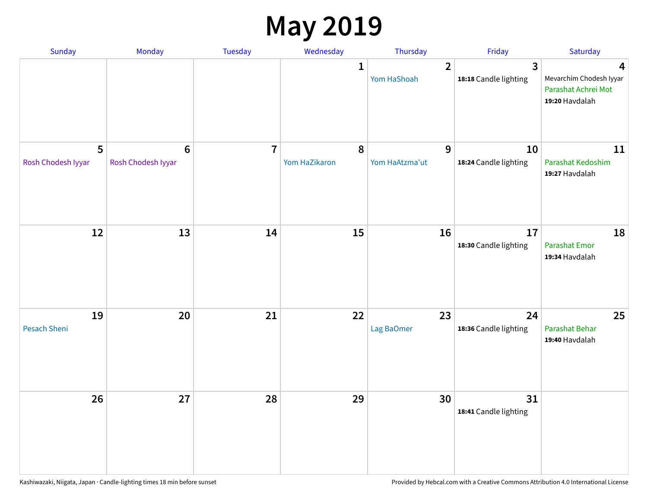## **May 2019**

| Sunday                  | Monday                                | Tuesday        | Wednesday          | Thursday                      | Friday                                | Saturday                                                              |
|-------------------------|---------------------------------------|----------------|--------------------|-------------------------------|---------------------------------------|-----------------------------------------------------------------------|
|                         |                                       |                | 1                  | $\overline{2}$<br>Yom HaShoah | $\mathbf{3}$<br>18:18 Candle lighting | 4<br>Mevarchim Chodesh Iyyar<br>Parashat Achrei Mot<br>19:20 Havdalah |
| 5<br>Rosh Chodesh Iyyar | $6\phantom{1}6$<br>Rosh Chodesh Iyyar | $\overline{7}$ | 8<br>Yom HaZikaron | 9<br>Yom HaAtzma'ut           | 10<br>18:24 Candle lighting           | 11<br>Parashat Kedoshim<br>19:27 Havdalah                             |
| 12                      | 13                                    | 14             | 15                 | 16                            | 17<br>18:30 Candle lighting           | 18<br><b>Parashat Emor</b><br>19:34 Havdalah                          |
| 19<br>Pesach Sheni      | 20                                    | 21             | 22                 | 23<br>Lag BaOmer              | 24<br>18:36 Candle lighting           | 25<br>Parashat Behar<br>19:40 Havdalah                                |
| 26                      | 27                                    | 28             | 29                 | 30                            | 31<br>18:41 Candle lighting           |                                                                       |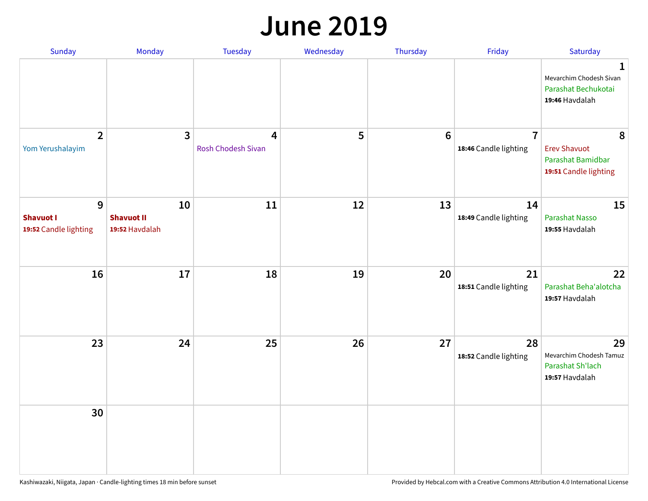#### **June 2019**

| Sunday                                         | Monday                                    | Tuesday                                     | Wednesday | Thursday        | Friday                                  | Saturday                                                               |
|------------------------------------------------|-------------------------------------------|---------------------------------------------|-----------|-----------------|-----------------------------------------|------------------------------------------------------------------------|
|                                                |                                           |                                             |           |                 |                                         | 1<br>Mevarchim Chodesh Sivan<br>Parashat Bechukotai<br>19:46 Havdalah  |
| $\overline{2}$<br>Yom Yerushalayim             | $\mathbf{3}$                              | $\overline{4}$<br><b>Rosh Chodesh Sivan</b> | 5         | $6\phantom{1}6$ | $\overline{7}$<br>18:46 Candle lighting | 8<br><b>Erev Shavuot</b><br>Parashat Bamidbar<br>19:51 Candle lighting |
| 9<br><b>Shavuot I</b><br>19:52 Candle lighting | 10<br><b>Shavuot II</b><br>19:52 Havdalah | 11                                          | 12        | 13              | 14<br>18:49 Candle lighting             | 15<br><b>Parashat Nasso</b><br>19:55 Havdalah                          |
| 16                                             | 17                                        | 18                                          | 19        | 20              | 21<br>18:51 Candle lighting             | 22<br>Parashat Beha'alotcha<br>19:57 Havdalah                          |
| 23                                             | 24                                        | 25                                          | 26        | 27              | 28<br>18:52 Candle lighting             | 29<br>Mevarchim Chodesh Tamuz<br>Parashat Sh'lach<br>19:57 Havdalah    |
| 30                                             |                                           |                                             |           |                 |                                         |                                                                        |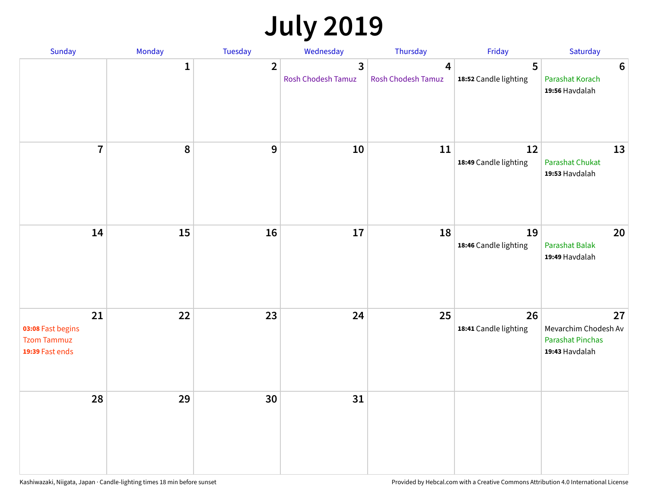## **July 2019**

| Sunday                                                           | Monday       | Tuesday        | Wednesday                                   | Thursday                | Friday                      | Saturday                                                                |
|------------------------------------------------------------------|--------------|----------------|---------------------------------------------|-------------------------|-----------------------------|-------------------------------------------------------------------------|
|                                                                  | $\mathbf{1}$ | $\overline{2}$ | $\overline{3}$<br><b>Rosh Chodesh Tamuz</b> | 4<br>Rosh Chodesh Tamuz | 5<br>18:52 Candle lighting  | $6\phantom{1}6$<br>Parashat Korach<br>19:56 Havdalah                    |
| $\overline{7}$                                                   | 8            | $\overline{9}$ | 10                                          | 11                      | 12<br>18:49 Candle lighting | 13<br><b>Parashat Chukat</b><br>19:53 Havdalah                          |
| 14                                                               | 15           | 16             | 17                                          | 18                      | 19<br>18:46 Candle lighting | 20<br><b>Parashat Balak</b><br>19:49 Havdalah                           |
| 21<br>03:08 Fast begins<br><b>Tzom Tammuz</b><br>19:39 Fast ends | 22           | 23             | 24                                          | 25                      | 26<br>18:41 Candle lighting | 27<br>Mevarchim Chodesh Av<br><b>Parashat Pinchas</b><br>19:43 Havdalah |
| 28                                                               | 29           | 30             | 31                                          |                         |                             |                                                                         |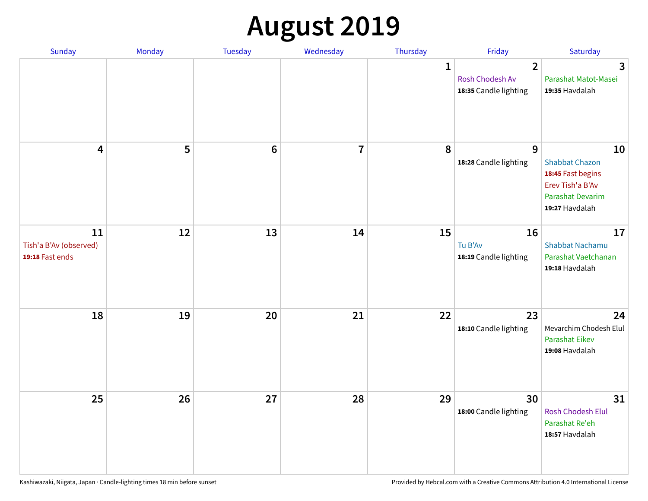# **August 2019**

| <b>Sunday</b>                                   | Monday | Tuesday         | Wednesday               | Thursday     | Friday                                                     | Saturday                                                                                                   |
|-------------------------------------------------|--------|-----------------|-------------------------|--------------|------------------------------------------------------------|------------------------------------------------------------------------------------------------------------|
|                                                 |        |                 |                         | $\mathbf{1}$ | $\overline{2}$<br>Rosh Chodesh Av<br>18:35 Candle lighting | $\overline{\mathbf{3}}$<br>Parashat Matot-Masei<br>19:35 Havdalah                                          |
| $\overline{\mathbf{4}}$                         | 5      | $6\phantom{1}6$ | $\overline{\mathbf{I}}$ | 8            | 9<br>18:28 Candle lighting                                 | 10<br><b>Shabbat Chazon</b><br>18:45 Fast begins<br>Erev Tish'a B'Av<br>Parashat Devarim<br>19:27 Havdalah |
| 11<br>Tish'a B'Av (observed)<br>19:18 Fast ends | 12     | 13              | 14                      | 15           | 16<br>Tu B'Av<br>18:19 Candle lighting                     | 17<br><b>Shabbat Nachamu</b><br>Parashat Vaetchanan<br>19:18 Havdalah                                      |
| 18                                              | 19     | 20              | 21                      | 22           | 23<br>18:10 Candle lighting                                | 24<br>Mevarchim Chodesh Elul<br><b>Parashat Eikev</b><br>19:08 Havdalah                                    |
| 25                                              | 26     | 27              | 28                      | 29           | 30<br>18:00 Candle lighting                                | 31<br><b>Rosh Chodesh Elul</b><br>Parashat Re'eh<br>18:57 Havdalah                                         |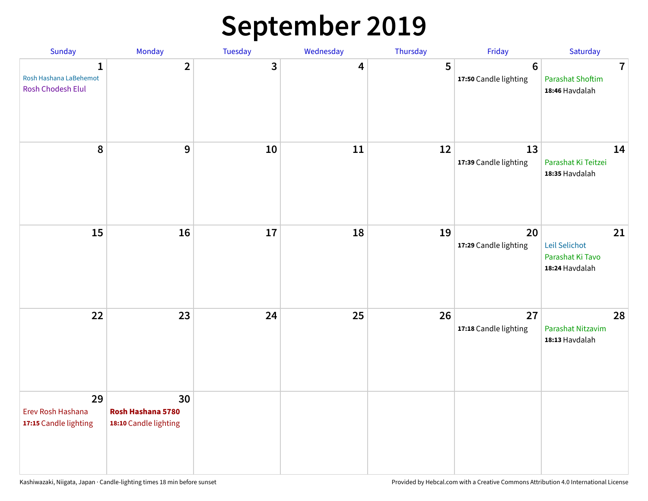## **September 2019**

| Sunday                                                      | Monday                                           | <b>Tuesday</b> | Wednesday | Thursday | Friday                                  | Saturday                                                    |
|-------------------------------------------------------------|--------------------------------------------------|----------------|-----------|----------|-----------------------------------------|-------------------------------------------------------------|
| $\mathbf{1}$<br>Rosh Hashana LaBehemot<br>Rosh Chodesh Elul | $\overline{2}$                                   | 3              | 4         | 5        | $6\phantom{1}$<br>17:50 Candle lighting | $\overline{7}$<br><b>Parashat Shoftim</b><br>18:46 Havdalah |
| 8                                                           | $\boldsymbol{9}$                                 | 10             | 11        | 12       | 13<br>17:39 Candle lighting             | 14<br>Parashat Ki Teitzei<br>18:35 Havdalah                 |
| 15                                                          | 16                                               | 17             | 18        | 19       | 20<br>17:29 Candle lighting             | 21<br>Leil Selichot<br>Parashat Ki Tavo<br>18:24 Havdalah   |
| 22                                                          | 23                                               | 24             | 25        | 26       | 27<br>17:18 Candle lighting             | 28<br>Parashat Nitzavim<br>18:13 Havdalah                   |
| 29<br>Erev Rosh Hashana<br>17:15 Candle lighting            | 30<br>Rosh Hashana 5780<br>18:10 Candle lighting |                |           |          |                                         |                                                             |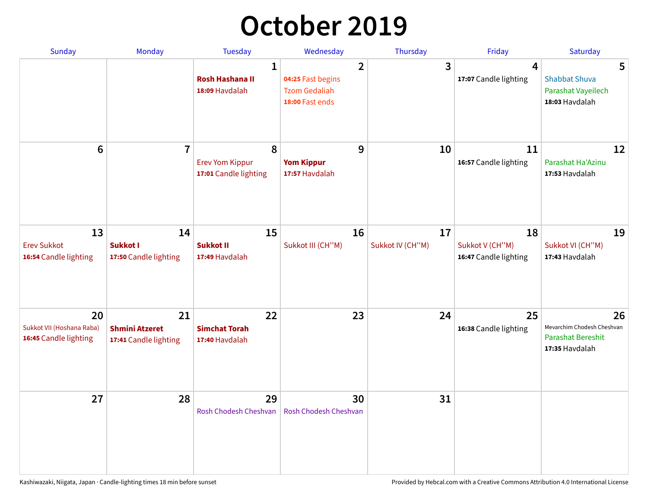## **October 2019**

| <b>Sunday</b>                                            | <b>Monday</b>                                        | <b>Tuesday</b>                                           | Wednesday                                                                      | Thursday               | Friday                                         | Saturday                                                                       |
|----------------------------------------------------------|------------------------------------------------------|----------------------------------------------------------|--------------------------------------------------------------------------------|------------------------|------------------------------------------------|--------------------------------------------------------------------------------|
|                                                          |                                                      | $\mathbf{1}$<br><b>Rosh Hashana II</b><br>18:09 Havdalah | $\overline{2}$<br>04:25 Fast begins<br><b>Tzom Gedaliah</b><br>18:00 Fast ends | 3                      | 4<br>17:07 Candle lighting                     | 5<br><b>Shabbat Shuva</b><br>Parashat Vayeilech<br>18:03 Havdalah              |
| 6                                                        | $\overline{7}$                                       | 8<br><b>Erev Yom Kippur</b><br>17:01 Candle lighting     | 9<br><b>Yom Kippur</b><br>17:57 Havdalah                                       | 10                     | 11<br>16:57 Candle lighting                    | 12<br>Parashat Ha'Azinu<br>17:53 Havdalah                                      |
| 13<br><b>Erev Sukkot</b><br>16:54 Candle lighting        | 14<br>Sukkot I<br>17:50 Candle lighting              | 15<br><b>Sukkot II</b><br>17:49 Havdalah                 | 16<br>Sukkot III (CH"M)                                                        | 17<br>Sukkot IV (CH"M) | 18<br>Sukkot V (CH"M)<br>16:47 Candle lighting | 19<br>Sukkot VI (CH"M)<br>17:43 Havdalah                                       |
| 20<br>Sukkot VII (Hoshana Raba)<br>16:45 Candle lighting | 21<br><b>Shmini Atzeret</b><br>17:41 Candle lighting | 22<br><b>Simchat Torah</b><br>17:40 Havdalah             | 23                                                                             | 24                     | 25<br>16:38 Candle lighting                    | 26<br>Mevarchim Chodesh Cheshvan<br><b>Parashat Bereshit</b><br>17:35 Havdalah |
| 27                                                       | 28                                                   | 29<br>Rosh Chodesh Cheshvan                              | 30<br>Rosh Chodesh Cheshvan                                                    | 31                     |                                                |                                                                                |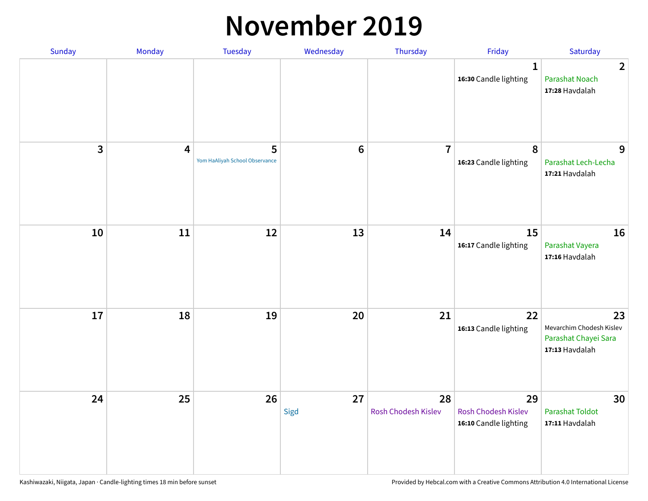#### **November 2019**

| Sunday | Monday                  | <b>Tuesday</b>                      | Wednesday      | Thursday                  | Friday                                                    | Saturday                                                                 |
|--------|-------------------------|-------------------------------------|----------------|---------------------------|-----------------------------------------------------------|--------------------------------------------------------------------------|
|        |                         |                                     |                |                           | $\mathbf{1}$<br>16:30 Candle lighting                     | $\overline{2}$<br><b>Parashat Noach</b><br>17:28 Havdalah                |
| 3      | $\overline{\mathbf{4}}$ | 5<br>Yom HaAliyah School Observance | $6\phantom{1}$ | $\overline{7}$            | 8<br>16:23 Candle lighting                                | 9<br>Parashat Lech-Lecha<br>17:21 Havdalah                               |
| 10     | 11                      | 12                                  | 13             | 14                        | 15<br>16:17 Candle lighting                               | 16<br>Parashat Vayera<br>17:16 Havdalah                                  |
| 17     | 18                      | 19                                  | 20             | 21                        | 22<br>16:13 Candle lighting                               | 23<br>Mevarchim Chodesh Kislev<br>Parashat Chayei Sara<br>17:13 Havdalah |
| 24     | 25                      | 26                                  | 27<br>Sigd     | 28<br>Rosh Chodesh Kislev | 29<br><b>Rosh Chodesh Kislev</b><br>16:10 Candle lighting | 30<br><b>Parashat Toldot</b><br>17:11 Havdalah                           |